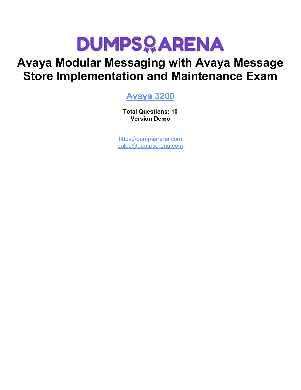# **DUMPSOARENA**

# **Avaya Modular Messaging with Avaya Message Store Implementation and Maintenance Exam**

## **[Avaya 3200](https://dumpsarena.com/exam/3200/)**

**Total Questions: 10 Version Demo**

[https://dumpsarena.com](https://dumpsarena.com/) [sales@dumpsarena.com](mailto:sales@dumpsarena.com)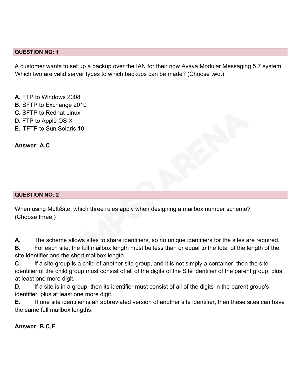#### **QUESTION NO: 1**

A customer wants to set up a backup over the IAN for their now Avaya Modular Messaging 5.7 system. Which two are valid server types to which backups can be made? (Choose two.)

**A.** FTP to Windows 2008 **B.** SFTP to Exchange 2010 **C.** SFTP to Redhat Linux **D.** FTP to Apple OS X **E.** TFTP to Sun Solaris 10

**Answer: A,C**

#### **QUESTION NO: 2**

When using MultiSite, which three rules apply when designing a mailbox number scheme? (Choose three.)

**A.** The scheme allows sites to share identifiers, so no unique identifiers for the sites are required.

**B.** For each site, the full mailbox length must be less than or equal to the total of the length of the site identifier and the short mailbox length.

**C.** If a site group is a child of another site group, and it is not simply a container, then the site identifier of the child group must consist of all of the digits of the Site identifier of the parent group, plus at least one more digit.

**D.** If a site is in a group, then its identifier must consist of all of the digits in the parent group's identifier, plus at least one more digit.

**E.** If one site identifier is an abbreviated version of another site identifier, then these sites can have the same full mailbox lengths.

**Answer: B,C,E**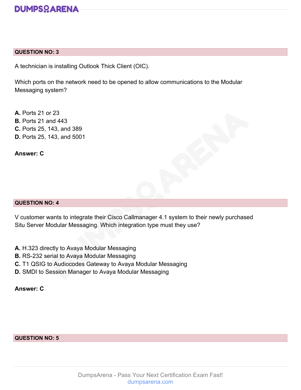

#### **QUESTION NO: 3**

A technician is installing Outlook Thick Client (OIC).

Which ports on the network need to be opened to allow communications to the Modular Messaging system?

**A.** Ports 21 or 23 **B.** Ports 21 and 443 **C.** Ports 25, 143, and 389 **D.** Ports 25, 143, and 5001

**Answer: C**

#### **QUESTION NO: 4**

V customer wants to integrate their Cisco Callmanager 4.1 system to their newly purchased Situ Server Modular Messaging. Which integration type must they use?

- **A.** H.323 directly to Avaya Modular Messaging
- **B.** RS-232 serial to Avaya Modular Messaging
- **C.** T1 QSIG to Audiocodes Gateway to Avaya Modular Messaging
- **D.** SMDI to Session Manager to Avaya Modular Messaging

#### **Answer: C**

#### **QUESTION NO: 5**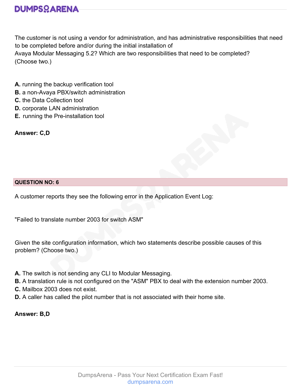

The customer is not using a vendor for administration, and has administrative responsibilities that need to be completed before and/or during the initial installation of Avaya Modular Messaging 5.2? Which are two responsibilities that need to be completed? (Choose two.)

- **A.** running the backup verification tool
- **B.** a non-Avaya PBX/switch administration
- **C.** the Data Collection tool
- **D.** corporate LAN administration
- **E.** running the Pre-installation tool
- **Answer: C,D**

#### **QUESTION NO: 6**

A customer reports they see the following error in the Application Event Log:

"Failed to translate number 2003 for switch ASM"

Given the site configuration information, which two statements describe possible causes of this problem? (Choose two.)

- **A.** The switch is not sending any CLI to Modular Messaging.
- **B.** A translation rule is not configured on the "ASM" PBX to deal with the extension number 2003.
- **C.** Mailbox 2003 does not exist.
- **D.** A caller has called the pilot number that is not associated with their home site.

**Answer: B,D**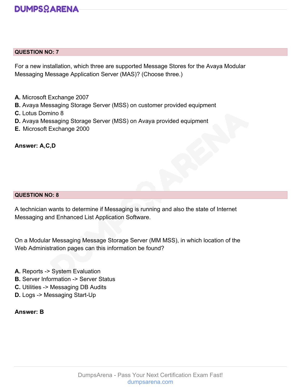### **DUMPSOARENA**

#### **QUESTION NO: 7**

For a new installation, which three are supported Message Stores for the Avaya Modular Messaging Message Application Server (MAS)? (Choose three.)

- **A.** Microsoft Exchange 2007
- **B.** Avaya Messaging Storage Server (MSS) on customer provided equipment
- **C.** Lotus Domino 8
- **D.** Avaya Messaging Storage Server (MSS) on Avaya provided equipment
- **E.** Microsoft Exchange 2000

**Answer: A,C,D**

#### **QUESTION NO: 8**

A technician wants to determine if Messaging is running and also the state of Internet Messaging and Enhanced List Application Software.

On a Modular Messaging Message Storage Server (MM MSS), in which location of the Web Administration pages can this information be found?

- **A.** Reports -> System Evaluation
- **B.** Server Information -> Server Status
- **C.** Utilities -> Messaging DB Audits
- **D.** Logs -> Messaging Start-Up

**Answer: B**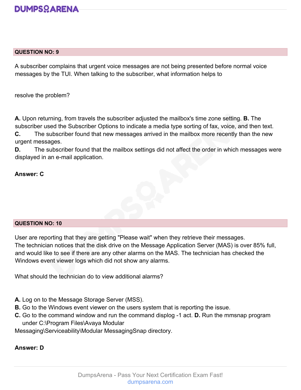

#### **QUESTION NO: 9**

A subscriber complains that urgent voice messages are not being presented before normal voice messages by the TUI. When talking to the subscriber, what information helps to

resolve the problem?

**A.** Upon returning, from travels the subscriber adjusted the mailbox's time zone setting. **B.** The subscriber used the Subscriber Options to indicate a media type sorting of fax, voice, and then text.

**C.** The subscriber found that new messages arrived in the mailbox more recently than the new urgent messages.

**D.** The subscriber found that the mailbox settings did not affect the order in which messages were displayed in an e-mail application.

#### **Answer: C**

#### **QUESTION NO: 10**

User are reporting that they are getting "Please wait" when they retrieve their messages. The technician notices that the disk drive on the Message Application Server (MAS) is over 85% full, and would like to see if there are any other alarms on the MAS. The technician has checked the Windows event viewer logs which did not show any alarms.

What should the technician do to view additional alarms?

- **A.** Log on to the Message Storage Server (MSS).
- **B.** Go to the Windows event viewer on the users system that is reporting the issue.
- **C.** Go to the command window and run the command displog -1 act. **D.** Run the mmsnap program under C:\Program Files\Avaya Modular

Messaging\Serviceability\Modular MessagingSnap directory.

#### **Answer: D**